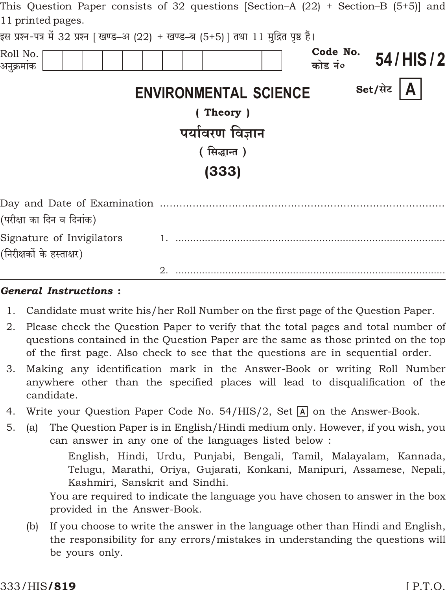| 11 printed pages.         | This Question Paper consists of 32 questions  Section–A (22) + Section–B (5+5)  and   |
|---------------------------|---------------------------------------------------------------------------------------|
|                           | इस प्रश्न-पत्र में 32 प्रश्न   खण्ड–अ (22) + खण्ड–ब (5+5)   तथा 11 मुद्रित पृष्ठ हैं। |
| Roll No.<br>अनुक्रमांक    | Code No.<br>54/HIS/2<br>कोड नं०                                                       |
|                           | Set/सेट $\vert$ <b>A</b><br><b>ENVIRONMENTAL SCIENCE</b>                              |
|                           | (Theory)                                                                              |
|                           | पर्यावरण विज्ञान                                                                      |
|                           | (सिद्धान्त)                                                                           |
|                           | (333)                                                                                 |
| (परीक्षा का दिन व दिनांक) |                                                                                       |
| Signature of Invigilators |                                                                                       |
| (निरीक्षकों के हस्ताक्षर) |                                                                                       |
|                           |                                                                                       |

### **General Instructions:**

- 1. Candidate must write his/her Roll Number on the first page of the Question Paper.
- 2. Please check the Question Paper to verify that the total pages and total number of questions contained in the Question Paper are the same as those printed on the top of the first page. Also check to see that the questions are in sequential order.
- Making any identification mark in the Answer-Book or writing Roll Number 3. anywhere other than the specified places will lead to disqualification of the candidate.
- Write your Question Paper Code No. 54/HIS/2, Set A on the Answer-Book. 4.
- The Question Paper is in English/Hindi medium only. However, if you wish, you  $5<sub>1</sub>$  $(a)$ can answer in any one of the languages listed below:

English, Hindi, Urdu, Punjabi, Bengali, Tamil, Malayalam, Kannada, Telugu, Marathi, Oriya, Gujarati, Konkani, Manipuri, Assamese, Nepali, Kashmiri, Sanskrit and Sindhi.

You are required to indicate the language you have chosen to answer in the box provided in the Answer-Book.

If you choose to write the answer in the language other than Hindi and English,  $(b)$ the responsibility for any errors/mistakes in understanding the questions will be yours only.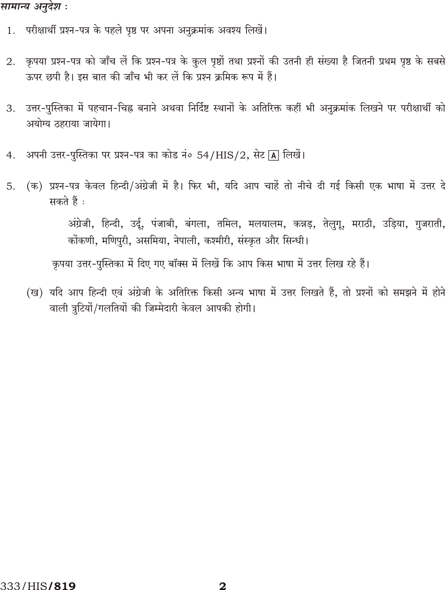## सामान्य अनुदेश :

- परीक्षार्थी प्रश्न-पत्र के पहले पृष्ठ पर अपना अनुक्रमांक अवश्य लिखें। 1.
- कृपया प्रश्न-पत्र को जाँच लें कि प्रश्न-पत्र के कुल पृष्ठों तथा प्रश्नों की उतनी ही संख्या है जितनी प्रथम पृष्ठ के सबसे 2. ऊपर छपी है। इस बात की जाँच भी कर लें कि प्रश्न क्रमिक रूप में हैं।
- उत्तर-पुस्तिका में पहचान-चिह्न बनाने अथवा निर्दिष्ट स्थानों के अतिरिक्त कहीं भी अनुक्रमांक लिखने पर परीक्षार्थी को 3. अयोग्य ठहराया जायेगा।
- अपनी उत्तर-पुस्तिका पर प्रश्न-पत्र का कोड नं० 54/HIS/2, सेट [A] लिखें। 4.
- (क) प्रश्न-पत्र केवल हिन्दी/अंग्रेजी में है। फिर भी, यदि आप चाहें तो नीचे दी गई किसी एक भाषा में उत्तर दे  $5.$ सकते हैं :

अंग्रेजी, हिन्दी, उर्दू, पंजाबी, बंगला, तमिल, मलयालम, कन्नड़, तेलुगू, मराठी, उड़िया, गुजराती, कोंकणी, मणिपरी, असमिया, नेपाली, कश्मीरी, संस्कृत और सिन्धी।

कृपया उत्तर-पुस्तिका में दिए गए बॉक्स में लिखें कि आप किस भाषा में उत्तर लिख रहे हैं।

(ख) यदि आप हिन्दी एवं अंग्रेजी के अतिरिक्त किसी अन्य भाषा में उत्तर लिखते हैं, तो प्रश्नों को समझने में होने वाली त्रटियों/गलतियों की जिम्मेदारी केवल आपकी होगी।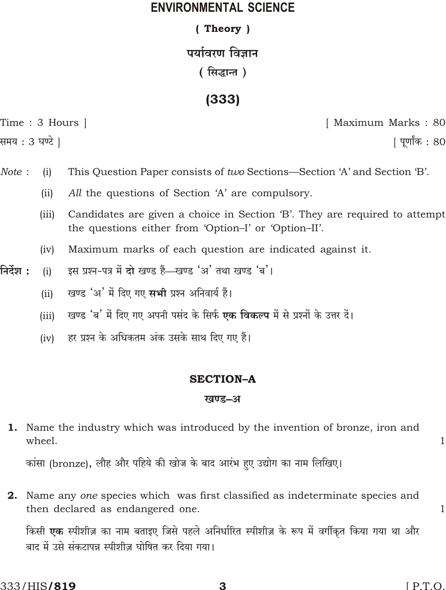## **ENVIRONMENTAL SCIENCE**

## (Theory)

# पर्यावरण विज्ञान

(सिद्धान्त)

 $(333)$ 

|  | Time : 3 Hours |  |
|--|----------------|--|
|  |                |  |

समय : 3 घण्टे 1

[ Maximum Marks: 80

<u>|</u> पूर्णांक : 80

- Note:  $(i)$ This Question Paper consists of two Sections—Section 'A' and Section 'B'.
	- $(ii)$ All the questions of Section 'A' are compulsory.
	- $(iii)$ Candidates are given a choice in Section 'B'. They are required to attempt the questions either from 'Option-I' or 'Option-II'.
	- Maximum marks of each question are indicated against it.  $(iv)$
- निर्देश : इस प्रश्न-पत्र में दो खण्ड हैं—खण्ड 'अ' तथा खण्ड 'ब'।  $(i)$ 
	- खण्ड 'अ' में दिए गए सभी प्रश्न अनिवार्य हैं।  $(ii)$
	- खण्ड 'ब' में दिए गए अपनी पसंद के सिर्फ **एक विकल्प** में से प्रश्नों के उत्तर दें।  $(iii)$
	- हर प्रश्न के अधिकतम अंक उसके साथ दिए गए हैं।  $(iv)$

### **SECTION-A**

### खण्ड-अ

**1.** Name the industry which was introduced by the invention of bronze, iron and wheel.

कांसा (bronze), लौह और पहिये की खोज के बाद आरंभ हुए उद्योग का नाम लिखिए।

**2.** Name any one species which was first classified as indeterminate species and then declared as endangered one.

किसी **एक** स्पीशीज़ का नाम बताइए जिसे पहले अनिर्धारित स्पीशीज़ के रूप में वर्गीकृत किया गया था और बाद में उसे संकटापन्न स्पीशीज़ घोषित कर दिया गया।

 $\mathbf{1}$ 

 $\mathbf{1}$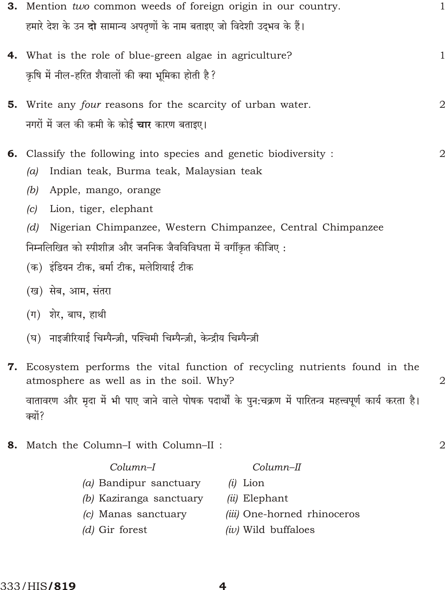| 3. Mention two common weeds of foreign origin in our country. |                                                                                |                |  |  |
|---------------------------------------------------------------|--------------------------------------------------------------------------------|----------------|--|--|
|                                                               | हमारे देश के उन <b>दो</b> सामान्य अपतृणों के नाम बताइए जो विदेशी उद्भव के हैं। |                |  |  |
|                                                               | 4. What is the role of blue-green algae in agriculture?                        | 1              |  |  |
|                                                               | कृषि में नील-हरित शैवालों की क्या भूमिका होती है ?                             |                |  |  |
|                                                               | 5. Write any four reasons for the scarcity of urban water.                     | $\mathbf{2}$   |  |  |
|                                                               | नगरों में जल की कमी के कोई <b>चार</b> कारण बताइए।                              |                |  |  |
|                                                               | 6. Classify the following into species and genetic biodiversity :              | $\overline{2}$ |  |  |
|                                                               | Indian teak, Burma teak, Malaysian teak<br>(a)                                 |                |  |  |
|                                                               | Apple, mango, orange<br>(b)                                                    |                |  |  |
|                                                               | Lion, tiger, elephant<br>(c)                                                   |                |  |  |
|                                                               | Nigerian Chimpanzee, Western Chimpanzee, Central Chimpanzee<br>(d)             |                |  |  |
|                                                               | निम्नलिखित को स्पीशीज़ और जननिक जैवविविधता में वर्गीकृत कीजिए:                 |                |  |  |
|                                                               | (क)  इंडियन टीक, बर्मा टीक, मलेशियाई टीक                                       |                |  |  |
|                                                               | (ख) सेब, आम, संतरा                                                             |                |  |  |
|                                                               | (ग) शेर, बाघ, हाथी                                                             |                |  |  |
|                                                               | (घ)) नाइजीरियाई चिम्पैन्ज़ी, पश्चिमी चिम्पैन्ज़ी, केन्द्रीय चिम्पैन्ज़ी        |                |  |  |
|                                                               | 7. Ecosystem performs the vital function of recycling nutrients found in the   |                |  |  |

atmosphere as well as in the soil. Why? वातावरण और मृदा में भी पाए जाने वाले पोषक पदार्थों के पुन:चक्रण में पारितन्त्र महत्त्वपूर्ण कार्य करता है। क्यों?

8. Match the Column-I with Column-II :

 $Column-II$ 

- (a) Bandipur sanctuary
- (b) Kaziranga sanctuary
- (c) Manas sanctuary

 $Column-I$ 

 $(d)$  Gir forest

- $(i)$  Lion
- (ii) Elephant
- (iii) One-horned rhinoceros
- $(iv)$  Wild buffaloes

 $\overline{2}$ 

 $\overline{2}$ 

 $\overline{\mathbf{4}}$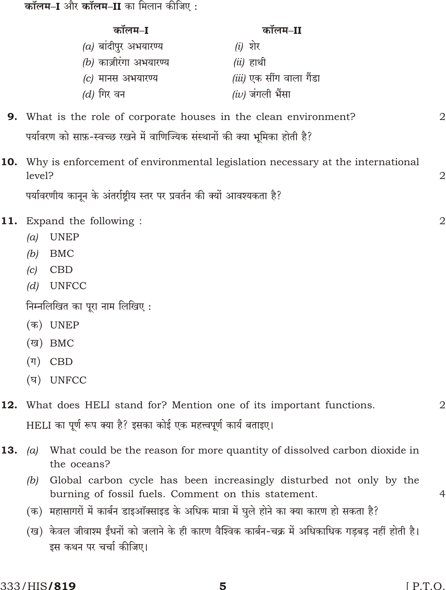**कॉलम–I** और **कॉलम–II** का मिलान कीजिए:

|                                |         | कॉलम–I                                                                                                                       | कॉलम–II                         |  |                |
|--------------------------------|---------|------------------------------------------------------------------------------------------------------------------------------|---------------------------------|--|----------------|
|                                |         | $(a)$ बांदीपुर अभयारण्य<br>$(b)$ काज़ीरंगा अभयारण्य                                                                          | $(i)$ शेर<br>$(ii)$ हाथी        |  |                |
|                                |         | $(c)$ मानस अभयारण्य                                                                                                          | <i>(iii)</i> एक सींग वाला गैंडा |  |                |
|                                |         | <i>(d)</i> गिर वन                                                                                                            | <i>(iv)</i> जंगली भैंसा         |  |                |
|                                |         | <b>9.</b> What is the role of corporate houses in the clean environment?                                                     |                                 |  | $\overline{2}$ |
|                                |         | पर्यावरण को साफ़-स्वच्छ रखने में वाणिज्यिक संस्थानों की क्या भूमिका होती है?                                                 |                                 |  |                |
|                                | level?  | <b>10.</b> Why is enforcement of environmental legislation necessary at the international                                    |                                 |  | 2              |
|                                |         | पर्यावरणीय कानून के अंतर्राष्ट्रीय स्तर पर प्रवर्तन की क्यों आवश्यकता है?                                                    |                                 |  |                |
|                                |         | <b>11.</b> Expand the following :                                                                                            |                                 |  | $\overline{2}$ |
|                                | (a)     | <b>UNEP</b>                                                                                                                  |                                 |  |                |
|                                | (b)     | <b>BMC</b>                                                                                                                   |                                 |  |                |
|                                | (c)     | <b>CBD</b>                                                                                                                   |                                 |  |                |
|                                | (d)     | <b>UNFCC</b>                                                                                                                 |                                 |  |                |
| निम्नलिखित का पूरा नाम लिखिए : |         |                                                                                                                              |                                 |  |                |
|                                |         | (क) UNEP                                                                                                                     |                                 |  |                |
|                                | (ख)     | BMC                                                                                                                          |                                 |  |                |
|                                | $(\Pi)$ | <b>CBD</b>                                                                                                                   |                                 |  |                |
|                                | (घ)     | <b>UNFCC</b>                                                                                                                 |                                 |  |                |
|                                |         | <b>12.</b> What does HELI stand for? Mention one of its important functions.                                                 |                                 |  | 2              |
|                                |         | HELI का पूर्ण रूप क्या है? इसका कोई एक महत्त्वपूर्ण कार्य बताइए।                                                             |                                 |  |                |
| 13.                            | (a)     | What could be the reason for more quantity of dissolved carbon dioxide in<br>the oceans?                                     |                                 |  |                |
|                                | (b)     | Global carbon cycle has been increasingly disturbed not only by the<br>burning of fossil fuels. Comment on this statement.   |                                 |  | 4              |
|                                |         | (क)  महासागरों में कार्बन डाइऑक्साइड के अधिक मात्रा में घुले होने का क्या कारण हो सकता है?                                   |                                 |  |                |
|                                |         | (ख)  केवल जीवाश्म ईंधनों को जलाने के ही कारण वैश्विक कार्बन-चक्र में अधिकाधिक गड़बड़ नहीं होती है।<br>इस कथन पर चर्चा कीजिए। |                                 |  |                |
|                                |         |                                                                                                                              |                                 |  |                |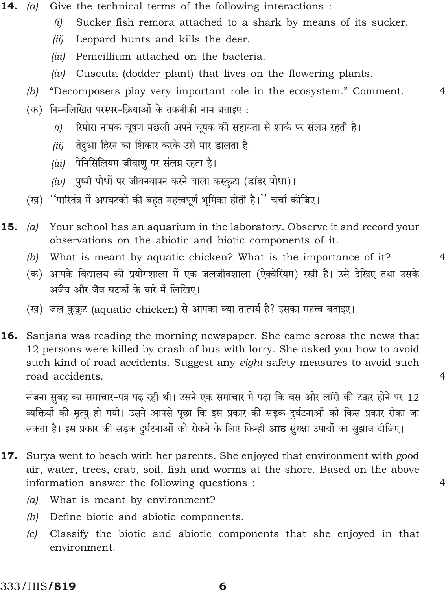- 14. (a) Give the technical terms of the following interactions:
	- Sucker fish remora attached to a shark by means of its sucker.  $(i)$
	- Leopard hunts and kills the deer.  $(ii)$
	- Penicillium attached on the bacteria.  $(iii)$
	- Cuscuta (dodder plant) that lives on the flowering plants.  $(iv)$
	- "Decomposers play very important role in the ecosystem." Comment.  $(b)$

 $\overline{4}$ 

 $\overline{4}$ 

 $\overline{4}$ 

 $\overline{4}$ 

- (क) निम्नलिखित परस्पर-क्रियाओं के तकनीकी नाम बताइए:
	- रिमोरा नामक चूषण मछली अपने चूषक की सहायता से शार्क पर संलग्न रहती है।  $(i)$
	- तेंदुआ हिरन का शिकार करके उसे मार डालता है।  $(ii)$
	- (iii) पेनिसिलियम जीवाणु पर संलग्न रहता है।
	- *(iv)* पुष्पी पौधों पर जीवनयापन करने वाला कस्कुटा (डॉडर पौधा)।
- (ख) ''पारितंत्र में अपघटकों की बहुत महत्त्वपूर्ण भूमिका होती है।'' चर्चा कीजिए।
- 15. Your school has an aquarium in the laboratory. Observe it and record your  $(a)$ observations on the abiotic and biotic components of it.
	- What is meant by aquatic chicken? What is the importance of it?  $(b)$
	- (क) आपके विद्यालय की प्रयोगशाला में एक जलजीवशाला (ऐक्वेरियम) रखी है। उसे देखिए तथा उसके अजैव और जैव घटकों के बारे में लिखिए।
	- (ख) जल कुक़ुट (aquatic chicken) से आपका क्या तात्पर्य है? इसका महत्त्व बताइए।
- **16.** Sanjana was reading the morning newspaper. She came across the news that 12 persons were killed by crash of bus with lorry. She asked you how to avoid such kind of road accidents. Suggest any eight safety measures to avoid such road accidents.

संजना सुबह का समाचार-पत्र पढ़ रही थी। उसने एक समाचार में पढ़ा कि बस और लॉरी की टक्कर होने पर 12 व्यक्तियों की मृत्यु हो गयी। उसने आपसे पूछा कि इस प्रकार की सड़क दुर्घटनाओं को किस प्रकार रोका जा सकता है। इस प्रकार की सड़क दुर्घटनाओं को रोकने के लिए किन्हीं **आठ** सुरक्षा उपायों का सुझाव दीजिए।

- **17.** Surya went to beach with her parents. She enjoyed that environment with good air, water, trees, crab, soil, fish and worms at the shore. Based on the above information answer the following questions :
	- (a) What is meant by environment?
	- Define biotic and abiotic components.  $(b)$
	- Classify the biotic and abiotic components that she enjoyed in that  $(c)$ environment.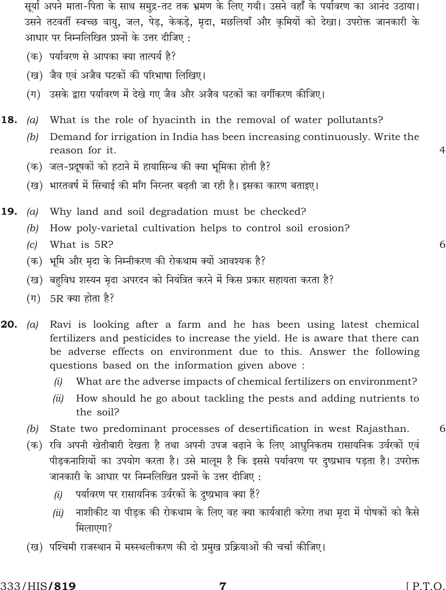सूर्या अपने माता-पिता के साथ समुद्र-तट तक भ्रमण के लिए गयी। उसने वहाँ के पर्यावरण का आनंद उठाया। उसने तटवर्ती स्वच्छ वायु, जल, पेड़, केकड़े, मृदा, मछलियाँ और कृमियों को देखा। उपरोक्त जानकारी के आधार पर निम्नलिखित प्रश्नों के उत्तर दीजिए:

- (क) पर्यावरण से आपका क्या तात्पर्य है?
- (ख) जैव एवं अजैव घटकों की परिभाषा लिखिए।
- (ग) उसके द्वारा पर्यावरण में देखे गए जैव और अजैव घटकों का वर्गीकरण कीजिए।
- 18.  $(a)$ What is the role of hyacinth in the removal of water pollutants?
	- Demand for irrigation in India has been increasing continuously. Write the  $(b)$ reason for it.
	- (क) जल-प्रदूषकों को हटाने में हायासिन्थ की क्या भूमिका होती है?
	- (ख) भारतवर्ष में सिंचाई की माँग निरन्तर बढती जा रही है। इसका कारण बताइए।
- 19.  $(a)$ Why land and soil degradation must be checked?
	- $(b)$ How poly-varietal cultivation helps to control soil erosion?
	- What is 5R?  $(c)$
	- (क) भूमि और मृदा के निम्नीकरण की रोकथाम क्यों आवश्यक है?
	- (ख) बहविध शस्यन मृदा अपरदन को नियंत्रित करने में किस प्रकार सहायता करता है?
	- (ग) 5R क्या होता है?
- 20.  $(a)$ Ravi is looking after a farm and he has been using latest chemical fertilizers and pesticides to increase the yield. He is aware that there can be adverse effects on environment due to this. Answer the following questions based on the information given above:
	- What are the adverse impacts of chemical fertilizers on environment?  $(i)$
	- (ii) How should he go about tackling the pests and adding nutrients to the soil?
	- $(b)$ State two predominant processes of desertification in west Rajasthan.
	- (क) रवि अपनी खेतीबारी देखता है तथा अपनी उपज बढ़ाने के लिए आधुनिकतम रासायनिक उर्वरकों एवं पीड़कनाशियों का उपयोग करता है। उसे मालूम है कि इससे पर्यावरण पर दुष्प्रभाव पड़ता है। उपरोक्त जानकारी के आधार पर निम्नलिखित प्रश्नों के उत्तर दीजिए :
		- पर्यावरण पर रासायनिक उर्वरकों के दुष्प्रभाव क्या हैं?  $(i)$
		- नाशीकीट या पीड़क की रोकथाम के लिए वह क्या कार्यवाही करेगा तथा मृदा में पोषकों को कैसे  $(ii)$ मिलाएगा?
	- (ख) पश्चिमी राजस्थान में मरुस्थलीकरण की दो प्रमुख प्रक्रियाओं की चर्चा कीजिए।

 $\overline{4}$ 

6

6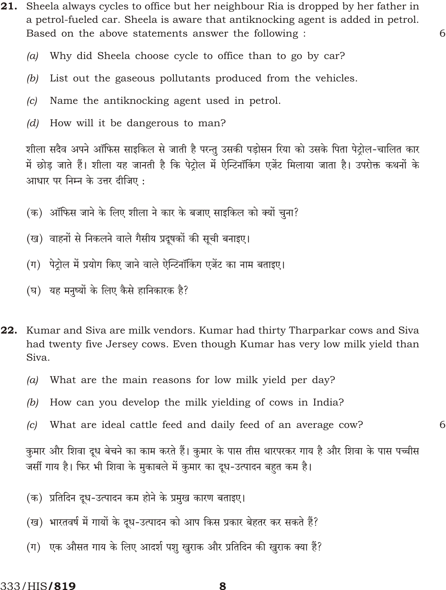21. Sheela always cycles to office but her neighbour Ria is dropped by her father in a petrol-fueled car. Sheela is aware that antiknocking agent is added in petrol. Based on the above statements answer the following :

6

6

- Why did Sheela choose cycle to office than to go by car?  $(a)$
- $(b)$ List out the gaseous pollutants produced from the vehicles.
- Name the antiknocking agent used in petrol.  $|c|$
- $(d)$ How will it be dangerous to man?

शीला सदैव अपने ऑफिस साइकिल से जाती है परन्तू उसकी पड़ोसन रिया को उसके पिता पेट्रोल-चालित कार में छोड़ जाते हैं। शीला यह जानती है कि पेट्रोल में ऐन्टिनॉकिंग एजेंट मिलाया जाता है। उपरोक्त कथनों के आधार पर निम्न के उत्तर दीजिए:

- (क) ऑफिस जाने के लिए शीला ने कार के बजाए साइकिल को क्यों चुना?
- (ख) वाहनों से निकलने वाले गैसीय प्रदूषकों की सूची बनाइए।
- (ग) पेट्रोल में प्रयोग किए जाने वाले ऐन्टिनॉकिंग एजेंट का नाम बताइए।
- (घ) यह मनुष्यों के लिए कैसे हानिकारक है?
- **22.** Kumar and Siva are milk vendors. Kumar had thirty Tharparkar cows and Siva had twenty five Jersey cows. Even though Kumar has very low milk yield than Siva.
	- What are the main reasons for low milk yield per day?  $(a)$
	- How can you develop the milk yielding of cows in India?  $(b)$
	- $(c)$  What are ideal cattle feed and daily feed of an average cow?

कुमार और शिवा दूध बेचने का काम करते हैं। कुमार के पास तीस थारपरकर गाय है और शिवा के पास पच्चीस जर्सी गाय है। फिर भी शिवा के मुकाबले में कुमार का दूध-उत्पादन बहत कम है।

- (क) प्रतिदिन दध-उत्पादन कम होने के प्रमुख कारण बताइए।
- (ख) भारतवर्ष में गायों के दूध-उत्पादन को आप किस प्रकार बेहतर कर सकते हैं?
- (ग) एक औसत गाय के लिए आदर्श पशु खुराक और प्रतिदिन की खुराक क्या हैं?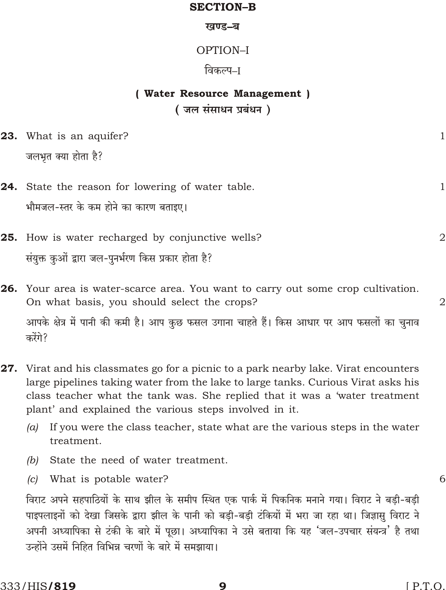### **SECTION-B**

#### खण्ड-ब

## OPTION-I

## विकल्प–ा

# (Water Resource Management) (जल संसाधन प्रबंधन)

| <b>23.</b> What is an aquifer? |  |
|--------------------------------|--|
| जलभृत क्या होता है?            |  |

- 24. State the reason for lowering of water table. भौमजल-स्तर के कम होने का कारण बताइए।
- 25. How is water recharged by conjunctive wells? संयुक्त कुओं द्वारा जल-पुनर्भरण किस प्रकार होता है?
	- 26. Your area is water-scarce area. You want to carry out some crop cultivation. On what basis, you should select the crops? आपके क्षेत्र में पानी की कमी है। आप कुछ फसल उगाना चाहते हैं। किस आधार पर आप फसलों का चुनाव करेंगे?
	- **27.** Virat and his classmates go for a picnic to a park nearby lake. Virat encounters large pipelines taking water from the lake to large tanks. Curious Virat asks his class teacher what the tank was. She replied that it was a 'water treatment plant' and explained the various steps involved in it.
		- (a) If you were the class teacher, state what are the various steps in the water treatment.
		- State the need of water treatment.  $(b)$
		- (c) What is potable water?

विराट अपने सहपाठियों के साथ झील के समीप स्थित एक पार्क में पिकनिक मनाने गया। विराट ने बड़ी-बड़ी पाइपलाइनों को देखा जिसके द्वारा झील के पानी को बड़ी-बड़ी टंकियों में भरा जा रहा था। जिज्ञासु विराट ने अपनी अध्यापिका से टंकी के बारे में पूछा। अध्यापिका ने उसे बताया कि यह 'जल-उपचार संयन्त्र' है तथा उन्होंने उसमें निहित विभिन्न चरणों के बारे में समझाया।

 $\mathbf{1}$ 

 $\overline{2}$ 

 $\overline{2}$ 

6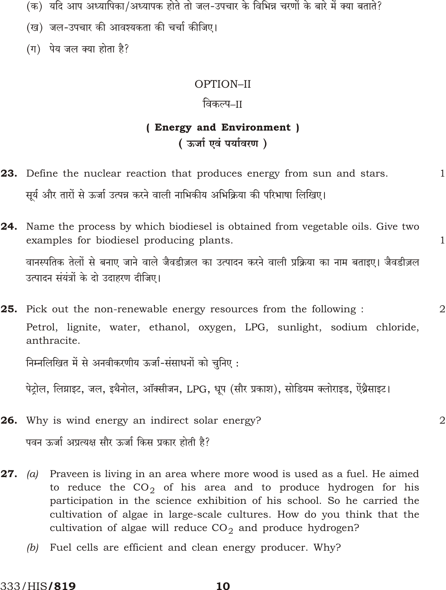- (क) यदि आप अध्यापिका/अध्यापक होते तो जल-उपचार के विभिन्न चरणों के बारे में क्या बताते?
- (ख) जल-उपचार की आवश्यकता की चर्चा कीजिए।
- (ग) पेय जल क्या होता है?

### OPTION-II

### विकल्प–ाा

# (Energy and Environment) (ऊर्जा एवं पर्यावरण)

- 23. Define the nuclear reaction that produces energy from sun and stars.  $\mathbf{1}$ सूर्य और तारों से ऊर्जा उत्पन्न करने वाली नाभिकीय अभिक्रिया की परिभाषा लिखिए।
- **24.** Name the process by which biodiesel is obtained from vegetable oils. Give two examples for biodiesel producing plants.

वानस्पतिक तेलों से बनाए जाने वाले जैवडीज़ल का उत्पादन करने वाली प्रक्रिया का नाम बताइए। जैवडीज़ल उत्पादन संयंत्रों के दो उदाहरण दीजिए।

 $\mathbf{1}$ 

 $\overline{2}$ 

 $\overline{2}$ 

25. Pick out the non-renewable energy resources from the following: Petrol, lignite, water, ethanol, oxygen, LPG, sunlight, sodium chloride, anthracite.

निम्नलिखित में से अनवीकरणीय ऊर्जा-संसाधनों को चुनिए :

पेट्रोल, लिग्नाइट, जल, इथैनोल, ऑक्सीजन, LPG, धूप (सौर प्रकाश), सोडियम क्लोराइड, ऐंथ्रैसाइट।

- 26. Why is wind energy an indirect solar energy? पवन ऊर्जा अप्रत्यक्ष सौर ऊर्जा किस प्रकार होती है?
- (a) Praveen is living in an area where more wood is used as a fuel. He aimed 27. to reduce the  $CO<sub>2</sub>$  of his area and to produce hydrogen for his participation in the science exhibition of his school. So he carried the cultivation of algae in large-scale cultures. How do you think that the cultivation of algae will reduce  $CO<sub>2</sub>$  and produce hydrogen?
	- (b) Fuel cells are efficient and clean energy producer. Why?